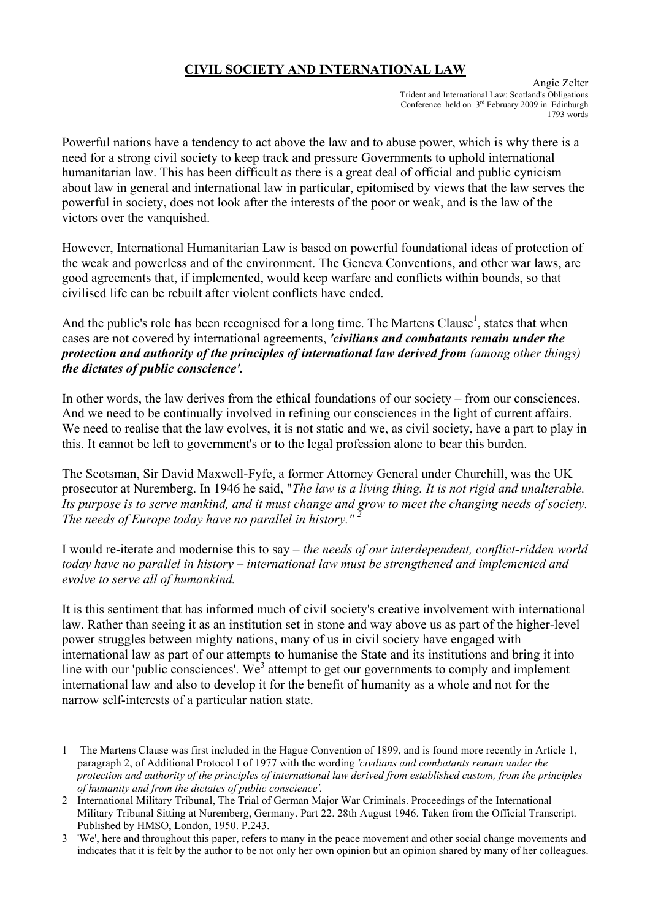## **CIVIL SOCIETY AND INTERNATIONAL LAW**

Angie Zelter Trident and International Law: Scotland's Obligations Conference held on  $3<sup>rd</sup>$  February 2009 in Edinburgh 1793 words

Powerful nations have a tendency to act above the law and to abuse power, which is why there is a need for a strong civil society to keep track and pressure Governments to uphold international humanitarian law. This has been difficult as there is a great deal of official and public cynicism about law in general and international law in particular, epitomised by views that the law serves the powerful in society, does not look after the interests of the poor or weak, and is the law of the victors over the vanquished.

However, International Humanitarian Law is based on powerful foundational ideas of protection of the weak and powerless and of the environment. The Geneva Conventions, and other war laws, are good agreements that, if implemented, would keep warfare and conflicts within bounds, so that civilised life can be rebuilt after violent conflicts have ended.

And the public's role has been recognised for a long time. The Martens Clause<sup>[1](#page-0-0)</sup>, states that when cases are not covered by international agreements, *'civilians and combatants remain under the protection and authority of the principles of international law derived from (among other things) the dictates of public conscience'.* 

In other words, the law derives from the ethical foundations of our society – from our consciences. And we need to be continually involved in refining our consciences in the light of current affairs. We need to realise that the law evolves, it is not static and we, as civil society, have a part to play in this. It cannot be left to government's or to the legal profession alone to bear this burden.

The Scotsman, Sir David Maxwell-Fyfe, a former Attorney General under Churchill, was the UK prosecutor at Nuremberg. In 1946 he said, "*The law is a living thing. It is not rigid and unalterable. Its purpose is to serve mankind, and it must change and grow to meet the changing needs of society. The needs of Europe today have no parallel in history." [2](#page-0-1)*

I would re-iterate and modernise this to say – *the needs of our interdependent, conflict-ridden world today have no parallel in history – international law must be strengthened and implemented and evolve to serve all of humankind.* 

It is this sentiment that has informed much of civil society's creative involvement with international law. Rather than seeing it as an institution set in stone and way above us as part of the higher-level power struggles between mighty nations, many of us in civil society have engaged with international law as part of our attempts to humanise the State and its institutions and bring it into line with our 'public consciences'. We<sup>[3](#page-0-2)</sup> attempt to get our governments to comply and implement international law and also to develop it for the benefit of humanity as a whole and not for the narrow self-interests of a particular nation state.

 $\overline{a}$ 

<span id="page-0-0"></span><sup>1</sup> The Martens Clause was first included in the Hague Convention of 1899, and is found more recently in Article 1, paragraph 2, of Additional Protocol I of 1977 with the wording *'civilians and combatants remain under the protection and authority of the principles of international law derived from established custom, from the principles of humanity and from the dictates of public conscience'.* 

<span id="page-0-1"></span><sup>2</sup> International Military Tribunal, The Trial of German Major War Criminals. Proceedings of the International Military Tribunal Sitting at Nuremberg, Germany. Part 22. 28th August 1946. Taken from the Official Transcript. Published by HMSO, London, 1950. P.243.

<span id="page-0-2"></span><sup>3 &#</sup>x27;We', here and throughout this paper, refers to many in the peace movement and other social change movements and indicates that it is felt by the author to be not only her own opinion but an opinion shared by many of her colleagues.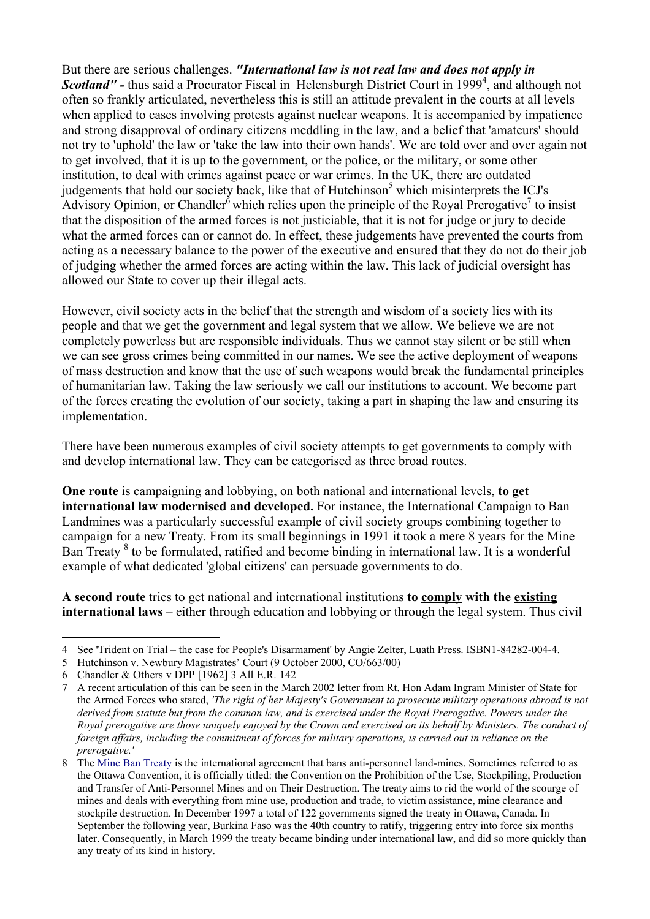But there are serious challenges. *"International law is not real law and does not apply in*  **Scotland''** - thus said a Procurator Fiscal in Helensburgh District Court in 1999<sup>[4](#page-1-0)</sup>, and although not often so frankly articulated, nevertheless this is still an attitude prevalent in the courts at all levels when applied to cases involving protests against nuclear weapons. It is accompanied by impatience and strong disapproval of ordinary citizens meddling in the law, and a belief that 'amateurs' should not try to 'uphold' the law or 'take the law into their own hands'. We are told over and over again not to get involved, that it is up to the government, or the police, or the military, or some other institution, to deal with crimes against peace or war crimes. In the UK, there are outdated judgements that hold our society back, like that of Hutchinson<sup>[5](#page-1-1)</sup> which misinterprets the ICJ's Advisory Opinion, or Chandler<sup> $\delta$ </sup> which relies upon the principle of the Royal Prerogative<sup>[7](#page-1-3)</sup> to insist that the disposition of the armed forces is not justiciable, that it is not for judge or jury to decide what the armed forces can or cannot do. In effect, these judgements have prevented the courts from acting as a necessary balance to the power of the executive and ensured that they do not do their job of judging whether the armed forces are acting within the law. This lack of judicial oversight has allowed our State to cover up their illegal acts.

However, civil society acts in the belief that the strength and wisdom of a society lies with its people and that we get the government and legal system that we allow. We believe we are not completely powerless but are responsible individuals. Thus we cannot stay silent or be still when we can see gross crimes being committed in our names. We see the active deployment of weapons of mass destruction and know that the use of such weapons would break the fundamental principles of humanitarian law. Taking the law seriously we call our institutions to account. We become part of the forces creating the evolution of our society, taking a part in shaping the law and ensuring its implementation.

There have been numerous examples of civil society attempts to get governments to comply with and develop international law. They can be categorised as three broad routes.

**One route** is campaigning and lobbying, on both national and international levels, **to get international law modernised and developed.** For instance, the International Campaign to Ban Landmines was a particularly successful example of civil society groups combining together to campaign for a new Treaty. From its small beginnings in 1991 it took a mere 8 years for the Mine Ban Treaty <sup>[8](#page-1-4)</sup> to be formulated, ratified and become binding in international law. It is a wonderful example of what dedicated 'global citizens' can persuade governments to do.

**A second route** tries to get national and international institutions **to comply with the existing international laws** – either through education and lobbying or through the legal system. Thus civil

 $\overline{a}$ 4 See 'Trident on Trial – the case for People's Disarmament' by Angie Zelter, Luath Press. ISBN1-84282-004-4.

<span id="page-1-1"></span><span id="page-1-0"></span><sup>5</sup> Hutchinson v. Newbury Magistrates' Court (9 October 2000, CO/663/00)

<span id="page-1-2"></span><sup>6</sup> Chandler & Others v DPP [1962] 3 All E.R. 142

<span id="page-1-3"></span><sup>7</sup> A recent articulation of this can be seen in the March 2002 letter from Rt. Hon Adam Ingram Minister of State for the Armed Forces who stated, *'The right of her Majesty's Government to prosecute military operations abroad is not derived from statute but from the common law, and is exercised under the Royal Prerogative. Powers under the Royal prerogative are those uniquely enjoyed by the Crown and exercised on its behalf by Ministers. The conduct of foreign affairs, including the commitment of forces for military operations, is carried out in reliance on the prerogative.'* 

<span id="page-1-4"></span><sup>8</sup> The [Mine Ban Treaty](http://www.icbl.org/treaty) is the international agreement that bans anti-personnel land-mines. Sometimes referred to as the Ottawa Convention, it is officially titled: the Convention on the Prohibition of the Use, Stockpiling, Production and Transfer of Anti-Personnel Mines and on Their Destruction. The treaty aims to rid the world of the scourge of mines and deals with everything from mine use, production and trade, to victim assistance, mine clearance and stockpile destruction. In December 1997 a total of 122 governments signed the treaty in Ottawa, Canada. In September the following year, Burkina Faso was the 40th country to ratify, triggering entry into force six months later. Consequently, in March 1999 the treaty became binding under international law, and did so more quickly than any treaty of its kind in history.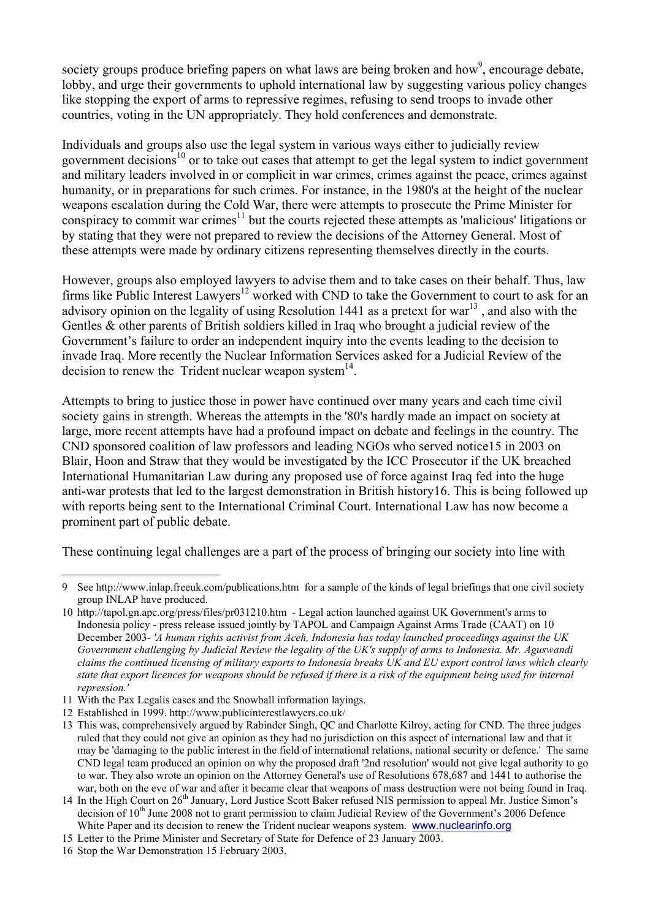society groups produce briefing papers on what laws are being broken and how<sup>[9](#page-2-0)</sup>, encourage debate, lobby, and urge their governments to uphold international law by suggesting various policy changes like stopping the export of arms to repressive regimes, refusing to send troops to invade other countries, voting in the UN appropriately. They hold conferences and demonstrate.

Individuals and groups also use the legal system in various ways either to judicially review government decisions<sup>10</sup> or to take out cases that attempt to get the legal system to indict government and military leaders involved in or complicit in war crimes, crimes against the peace, crimes against humanity, or in preparations for such crimes. For instance, in the 1980's at the height of the nuclear weapons escalation during the Cold War, there were attempts to prosecute the Prime Minister for conspiracy to commit war crimes<sup>11</sup> but the courts rejected these attempts as 'malicious' litigations or by stating that they were not prepared to review the decisions of the Attorney General. Most of these attempts were made by ordinary citizens representing themselves directly in the courts.

However, groups also employed lawyers to advise them and to take cases on their behalf. Thus, law firms like Public Interest Lawyers<sup>12</sup> worked with CND to take the Government to court to ask for an advisory opinion on the legality of using Resolution 1441 as a pretext for war<sup>13</sup>, and also with the Gentles & other parents of British soldiers killed in Iraq who brought a judicial review of the Government's failure to order an independent inquiry into the events leading to the decision to invade Iraq. More recently the Nuclear Information Services asked for a Judicial Review of the decision to renew the Trident nuclear weapon system $^{14}$ .

Attempts to bring to justice those in power have continued over many years and each time civil society gains in strength. Whereas the attempts in the '80's hardly made an impact on society at large, more recent attempts have had a profound impact on debate and feelings in the country. The CND sponsored coalition of law professors and leading NGOs who served notice[15](#page-2-6) in 2003 on Blair, Hoon and Straw that they would be investigated by the ICC Prosecutor if the UK breached International Humanitarian Law during any proposed use of force against Iraq fed into the huge anti-war protests that led to the largest demonstration in British histor[y16.](#page-2-7) This is being followed up with reports being sent to the International Criminal Court. International Law has now become a prominent part of public debate.

These continuing legal challenges are a part of the process of bringing our society into line with

<span id="page-2-0"></span> $\overline{a}$ 9 See http://www.inlap.freeuk.com/publications.htm for a sample of the kinds of legal briefings that one civil society group INLAP have produced.

<span id="page-2-1"></span><sup>10</sup> http://tapol.gn.apc.org/press/files/pr031210.htm - Legal action launched against UK Government's arms to Indonesia policy - press release issued jointly by TAPOL and Campaign Against Arms Trade (CAAT) on 10 December 2003- *'A human rights activist from Aceh, Indonesia has today launched proceedings against the UK Government challenging by Judicial Review the legality of the UK's supply of arms to Indonesia. Mr. Aguswandi claims the continued licensing of military exports to Indonesia breaks UK and EU export control laws which clearly state that export licences for weapons should be refused if there is a risk of the equipment being used for internal repression.'* 

<span id="page-2-2"></span><sup>11</sup> With the Pax Legalis cases and the Snowball information layings.

<span id="page-2-3"></span><sup>12</sup> Established in 1999. http://www.publicinterestlawyers.co.uk/

<span id="page-2-4"></span><sup>13</sup> This was, comprehensively argued by Rabinder Singh, QC and Charlotte Kilroy, acting for CND. The three judges ruled that they could not give an opinion as they had no jurisdiction on this aspect of international law and that it may be 'damaging to the public interest in the field of international relations, national security or defence.' The same CND legal team produced an opinion on why the proposed draft '2nd resolution' would not give legal authority to go to war. They also wrote an opinion on the Attorney General's use of Resolutions 678,687 and 1441 to authorise the war, both on the eve of war and after it became clear that weapons of mass destruction were not being found in Iraq.

<span id="page-2-5"></span><sup>14</sup> In the High Court on 26<sup>th</sup> January, Lord Justice Scott Baker refused NIS permission to appeal Mr. Justice Simon's decision of 10<sup>th</sup> June 2008 not to grant permission to claim Judicial Review of the Government's 2006 Defence White Paper and its decision to renew the Trident nuclear weapons system. [www.nuclearinfo.org](http://www.nuclearinfo.org/)

<span id="page-2-6"></span><sup>15</sup> Letter to the Prime Minister and Secretary of State for Defence of 23 January 2003.

<span id="page-2-7"></span><sup>16</sup> Stop the War Demonstration 15 February 2003.